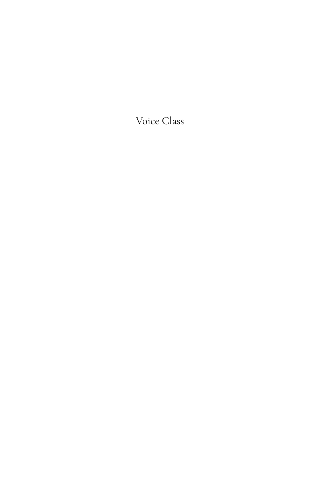Voice Class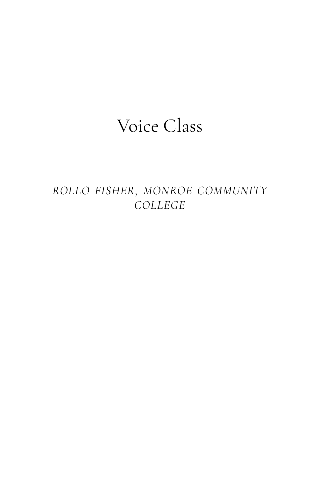## Voice Class

*ROLLO FISHER, MONROE COMMUNITY COLLEGE*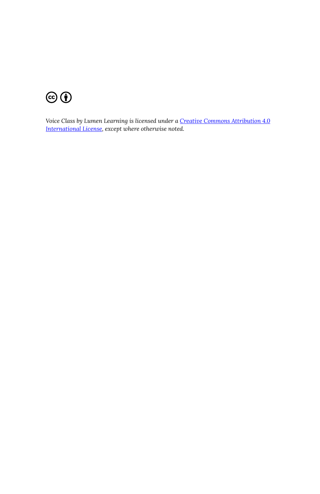

*Voice Class by Lumen Learning is licensed under a [Creative Commons Attribution 4.0](https://creativecommons.org/licenses/by/4.0/)  [International License](https://creativecommons.org/licenses/by/4.0/), except where otherwise noted.*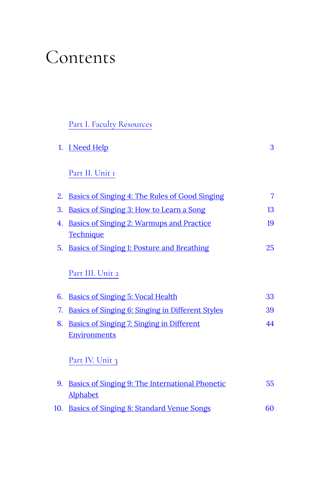## Contents

#### [Part](#page-6-0) I. [Faculty Resources](#page-6-0)

|    | 1. I Need Help                                          | 3  |
|----|---------------------------------------------------------|----|
|    | Part II. Unit 1                                         |    |
| 2. | <b>Basics of Singing 4: The Rules of Good Singing</b>   | 7  |
| 3. | <u>Basics of Singing 3: How to Learn a Song</u>         | 13 |
| 4. | <u><b>Basics of Singing 2: Warmups and Practice</b></u> | 19 |
|    | <u>Technique</u>                                        |    |
| 5. | <u>Basics of Singing 1: Posture and Breathing</u>       | 25 |
|    | Part III. Unit 2                                        |    |
| 6. | <u>Basics of Singing 5: Vocal Health</u>                | 33 |
| 7. | <b>Basics of Singing 6: Singing in Different Styles</b> | 39 |
| 8. | <b>Basics of Singing 7: Singing in Different</b>        | 44 |
|    | Environments                                            |    |

#### [Part](#page-58-0) IV. [Unit 3](#page-58-0)

| 9. <u>Basics of Singing 9: The International Phonetic</u> | 55. |
|-----------------------------------------------------------|-----|
| Alphabet                                                  |     |
| 10. Basics of Singing 8: Standard Venue Songs             | 60. |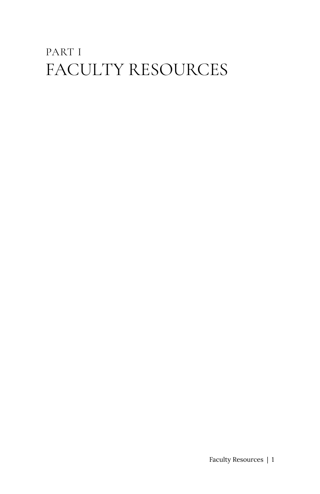## <span id="page-6-0"></span>PART I FACULTY RESOURCES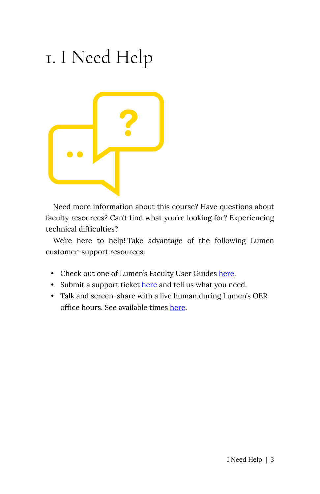# <span id="page-8-0"></span>1. I Need Help



Need more information about this course? Have questions about faculty resources? Can't find what you're looking for? Experiencing technical difficulties?

We're here to help! Take advantage of the following Lumen customer-support resources:

- Check out one of Lumen's Faculty User Guides [here.](https://lumenlearning.zendesk.com/hc/en-us)
- Submit a support ticket [here](https://lumenlearning.zendesk.com/hc/en-us/requests/new) and tell us what you need.
- Talk and screen-share with a live human during Lumen's OER office hours. See available times [here](http://lumenlearning.com/office-hours/).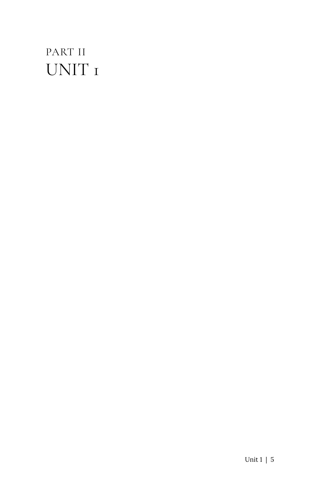## <span id="page-10-0"></span>PART II UNIT 1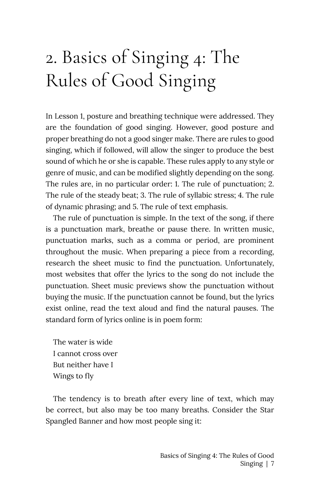# <span id="page-12-0"></span>2. Basics of Singing 4: The Rules of Good Singing

In Lesson 1, posture and breathing technique were addressed. They are the foundation of good singing. However, good posture and proper breathing do not a good singer make. There are rules to good singing, which if followed, will allow the singer to produce the best sound of which he or she is capable. These rules apply to any style or genre of music, and can be modified slightly depending on the song. The rules are, in no particular order: 1. The rule of punctuation; 2. The rule of the steady beat; 3. The rule of syllabic stress; 4. The rule of dynamic phrasing; and 5. The rule of text emphasis.

The rule of punctuation is simple. In the text of the song, if there is a punctuation mark, breathe or pause there. In written music, punctuation marks, such as a comma or period, are prominent throughout the music. When preparing a piece from a recording, research the sheet music to find the punctuation. Unfortunately, most websites that offer the lyrics to the song do not include the punctuation. Sheet music previews show the punctuation without buying the music. If the punctuation cannot be found, but the lyrics exist online, read the text aloud and find the natural pauses. The standard form of lyrics online is in poem form:

The water is wide I cannot cross over But neither have I Wings to fly

The tendency is to breath after every line of text, which may be correct, but also may be too many breaths. Consider the Star Spangled Banner and how most people sing it: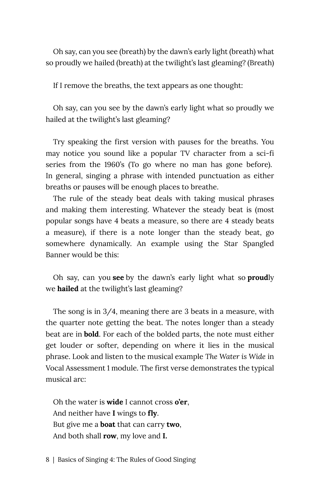Oh say, can you see (breath) by the dawn's early light (breath) what so proudly we hailed (breath) at the twilight's last gleaming? (Breath)

If I remove the breaths, the text appears as one thought:

Oh say, can you see by the dawn's early light what so proudly we hailed at the twilight's last gleaming?

Try speaking the first version with pauses for the breaths. You may notice you sound like a popular TV character from a sci-fi series from the 1960's (To go where no man has gone before). In general, singing a phrase with intended punctuation as either breaths or pauses will be enough places to breathe.

The rule of the steady beat deals with taking musical phrases and making them interesting. Whatever the steady beat is (most popular songs have 4 beats a measure, so there are 4 steady beats a measure), if there is a note longer than the steady beat, go somewhere dynamically. An example using the Star Spangled Banner would be this:

Oh say, can you **see** by the dawn's early light what so **proud**ly we **hailed** at the twilight's last gleaming?

The song is in 3/4, meaning there are 3 beats in a measure, with the quarter note getting the beat. The notes longer than a steady beat are in **bold**. For each of the bolded parts, the note must either get louder or softer, depending on where it lies in the musical phrase. Look and listen to the musical example *The Water is Wide* in Vocal Assessment 1 module. The first verse demonstrates the typical musical arc:

Oh the water is **wide** I cannot cross **o'er**, And neither have **I** wings to **fly**. But give me a **boat** that can carry **two**, And both shall **row**, my love and **I.**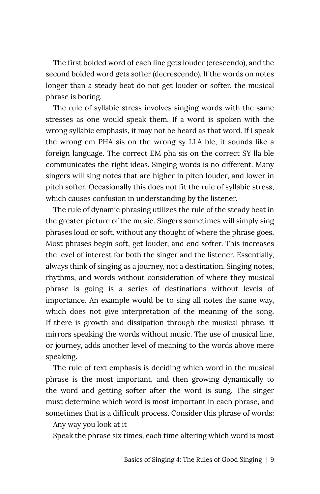The first bolded word of each line gets louder (crescendo), and the second bolded word gets softer (decrescendo). If the words on notes longer than a steady beat do not get louder or softer, the musical phrase is boring.

The rule of syllabic stress involves singing words with the same stresses as one would speak them. If a word is spoken with the wrong syllabic emphasis, it may not be heard as that word. If I speak the wrong em PHA sis on the wrong sy LLA ble, it sounds like a foreign language. The correct EM pha sis on the correct SY lla ble communicates the right ideas. Singing words is no different. Many singers will sing notes that are higher in pitch louder, and lower in pitch softer. Occasionally this does not fit the rule of syllabic stress, which causes confusion in understanding by the listener.

The rule of dynamic phrasing utilizes the rule of the steady beat in the greater picture of the music. Singers sometimes will simply sing phrases loud or soft, without any thought of where the phrase goes. Most phrases begin soft, get louder, and end softer. This increases the level of interest for both the singer and the listener. Essentially, always think of singing as a journey, not a destination. Singing notes, rhythms, and words without consideration of where they musical phrase is going is a series of destinations without levels of importance. An example would be to sing all notes the same way, which does not give interpretation of the meaning of the song. If there is growth and dissipation through the musical phrase, it mirrors speaking the words without music. The use of musical line, or journey, adds another level of meaning to the words above mere speaking.

The rule of text emphasis is deciding which word in the musical phrase is the most important, and then growing dynamically to the word and getting softer after the word is sung. The singer must determine which word is most important in each phrase, and sometimes that is a difficult process. Consider this phrase of words:

Any way you look at it

Speak the phrase six times, each time altering which word is most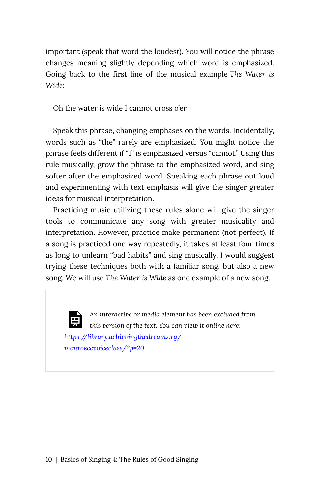important (speak that word the loudest). You will notice the phrase changes meaning slightly depending which word is emphasized. Going back to the first line of the musical example *The Water is Wide*:

Oh the water is wide I cannot cross o'er

Speak this phrase, changing emphases on the words. Incidentally, words such as "the" rarely are emphasized. You might notice the phrase feels different if "I" is emphasized versus "cannot." Using this rule musically, grow the phrase to the emphasized word, and sing softer after the emphasized word. Speaking each phrase out loud and experimenting with text emphasis will give the singer greater ideas for musical interpretation.

Practicing music utilizing these rules alone will give the singer tools to communicate any song with greater musicality and interpretation. However, practice make permanent (not perfect). If a song is practiced one way repeatedly, it takes at least four times as long to unlearn "bad habits" and sing musically. I would suggest trying these techniques both with a familiar song, but also a new song. We will use *The Water is Wide* as one example of a new song.

*An interactive or media element has been excluded from this version of the text. You can view it online here: [https://library.achievingthedream.org/](https://library.achievingthedream.org/monroeccvoiceclass/?p=20#pb-interactive-content) [monroeccvoiceclass/?p=20](https://library.achievingthedream.org/monroeccvoiceclass/?p=20#pb-interactive-content)*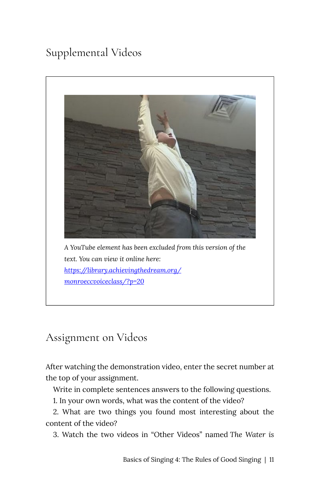## Supplemental Videos



### Assignment on Videos

After watching the demonstration video, enter the secret number at the top of your assignment.

Write in complete sentences answers to the following questions.

1. In your own words, what was the content of the video?

2. What are two things you found most interesting about the content of the video?

3. Watch the two videos in "Other Videos" named *The Water is*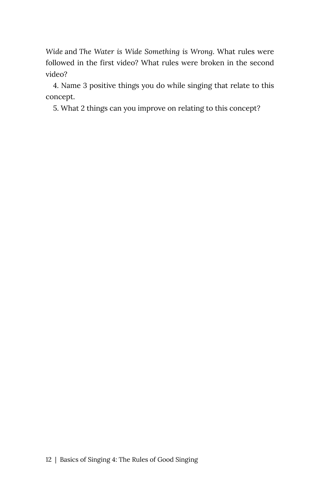*Wide* and *The Water is Wide Something is Wrong*. What rules were followed in the first video? What rules were broken in the second video?

4. Name 3 positive things you do while singing that relate to this concept.

5. What 2 things can you improve on relating to this concept?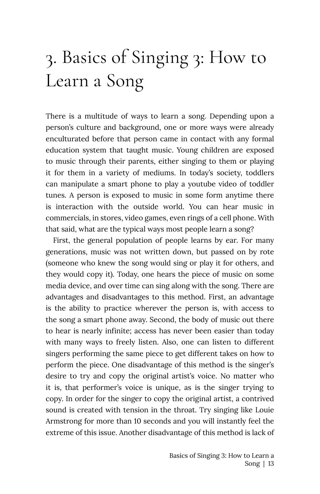# <span id="page-18-0"></span>3. Basics of Singing 3: How to Learn a Song

There is a multitude of ways to learn a song. Depending upon a person's culture and background, one or more ways were already enculturated before that person came in contact with any formal education system that taught music. Young children are exposed to music through their parents, either singing to them or playing it for them in a variety of mediums. In today's society, toddlers can manipulate a smart phone to play a youtube video of toddler tunes. A person is exposed to music in some form anytime there is interaction with the outside world. You can hear music in commercials, in stores, video games, even rings of a cell phone. With that said, what are the typical ways most people learn a song?

First, the general population of people learns by ear. For many generations, music was not written down, but passed on by rote (someone who knew the song would sing or play it for others, and they would copy it). Today, one hears the piece of music on some media device, and over time can sing along with the song. There are advantages and disadvantages to this method. First, an advantage is the ability to practice wherever the person is, with access to the song a smart phone away. Second, the body of music out there to hear is nearly infinite; access has never been easier than today with many ways to freely listen. Also, one can listen to different singers performing the same piece to get different takes on how to perform the piece. One disadvantage of this method is the singer's desire to try and copy the original artist's voice. No matter who it is, that performer's voice is unique, as is the singer trying to copy. In order for the singer to copy the original artist, a contrived sound is created with tension in the throat. Try singing like Louie Armstrong for more than 10 seconds and you will instantly feel the extreme of this issue. Another disadvantage of this method is lack of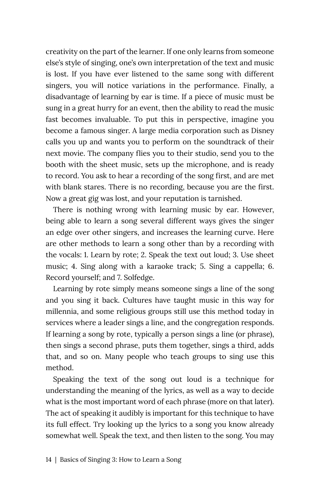creativity on the part of the learner. If one only learns from someone else's style of singing, one's own interpretation of the text and music is lost. If you have ever listened to the same song with different singers, you will notice variations in the performance. Finally, a disadvantage of learning by ear is time. If a piece of music must be sung in a great hurry for an event, then the ability to read the music fast becomes invaluable. To put this in perspective, imagine you become a famous singer. A large media corporation such as Disney calls you up and wants you to perform on the soundtrack of their next movie. The company flies you to their studio, send you to the booth with the sheet music, sets up the microphone, and is ready to record. You ask to hear a recording of the song first, and are met with blank stares. There is no recording, because you are the first. Now a great gig was lost, and your reputation is tarnished.

There is nothing wrong with learning music by ear. However, being able to learn a song several different ways gives the singer an edge over other singers, and increases the learning curve. Here are other methods to learn a song other than by a recording with the vocals: 1. Learn by rote; 2. Speak the text out loud; 3. Use sheet music; 4. Sing along with a karaoke track; 5. Sing a cappella; 6. Record yourself; and 7. Solfedge.

Learning by rote simply means someone sings a line of the song and you sing it back. Cultures have taught music in this way for millennia, and some religious groups still use this method today in services where a leader sings a line, and the congregation responds. If learning a song by rote, typically a person sings a line (or phrase), then sings a second phrase, puts them together, sings a third, adds that, and so on. Many people who teach groups to sing use this method.

Speaking the text of the song out loud is a technique for understanding the meaning of the lyrics, as well as a way to decide what is the most important word of each phrase (more on that later). The act of speaking it audibly is important for this technique to have its full effect. Try looking up the lyrics to a song you know already somewhat well. Speak the text, and then listen to the song. You may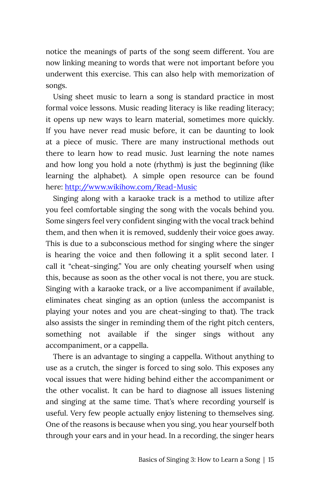notice the meanings of parts of the song seem different. You are now linking meaning to words that were not important before you underwent this exercise. This can also help with memorization of songs.

Using sheet music to learn a song is standard practice in most formal voice lessons. Music reading literacy is like reading literacy; it opens up new ways to learn material, sometimes more quickly. If you have never read music before, it can be daunting to look at a piece of music. There are many instructional methods out there to learn how to read music. Just learning the note names and how long you hold a note (rhythm) is just the beginning (like learning the alphabet). A simple open resource can be found here: <http://www.wikihow.com/Read-Music>

Singing along with a karaoke track is a method to utilize after you feel comfortable singing the song with the vocals behind you. Some singers feel very confident singing with the vocal track behind them, and then when it is removed, suddenly their voice goes away. This is due to a subconscious method for singing where the singer is hearing the voice and then following it a split second later. I call it "cheat-singing." You are only cheating yourself when using this, because as soon as the other vocal is not there, you are stuck. Singing with a karaoke track, or a live accompaniment if available, eliminates cheat singing as an option (unless the accompanist is playing your notes and you are cheat-singing to that). The track also assists the singer in reminding them of the right pitch centers, something not available if the singer sings without any accompaniment, or a cappella.

There is an advantage to singing a cappella. Without anything to use as a crutch, the singer is forced to sing solo. This exposes any vocal issues that were hiding behind either the accompaniment or the other vocalist. It can be hard to diagnose all issues listening and singing at the same time. That's where recording yourself is useful. Very few people actually enjoy listening to themselves sing. One of the reasons is because when you sing, you hear yourself both through your ears and in your head. In a recording, the singer hears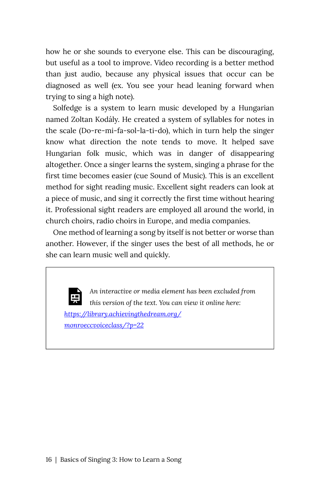how he or she sounds to everyone else. This can be discouraging, but useful as a tool to improve. Video recording is a better method than just audio, because any physical issues that occur can be diagnosed as well (ex. You see your head leaning forward when trying to sing a high note).

Solfedge is a system to learn music developed by a Hungarian named Zoltan Kodály. He created a system of syllables for notes in the scale (Do-re-mi-fa-sol-la-ti-do), which in turn help the singer know what direction the note tends to move. It helped save Hungarian folk music, which was in danger of disappearing altogether. Once a singer learns the system, singing a phrase for the first time becomes easier (cue Sound of Music). This is an excellent method for sight reading music. Excellent sight readers can look at a piece of music, and sing it correctly the first time without hearing it. Professional sight readers are employed all around the world, in church choirs, radio choirs in Europe, and media companies.

One method of learning a song by itself is not better or worse than another. However, if the singer uses the best of all methods, he or she can learn music well and quickly.

*An interactive or media element has been excluded from this version of the text. You can view it online here: [https://library.achievingthedream.org/](https://library.achievingthedream.org/monroeccvoiceclass/?p=22#pb-interactive-content) [monroeccvoiceclass/?p=22](https://library.achievingthedream.org/monroeccvoiceclass/?p=22#pb-interactive-content)*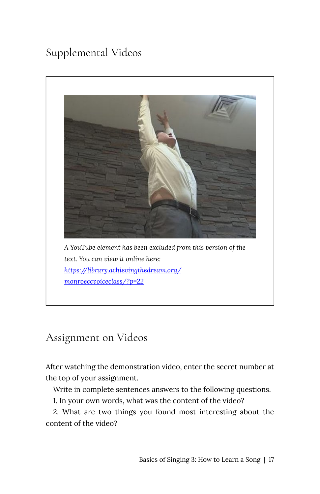## Supplemental Videos



### Assignment on Videos

After watching the demonstration video, enter the secret number at the top of your assignment.

Write in complete sentences answers to the following questions.

1. In your own words, what was the content of the video?

2. What are two things you found most interesting about the content of the video?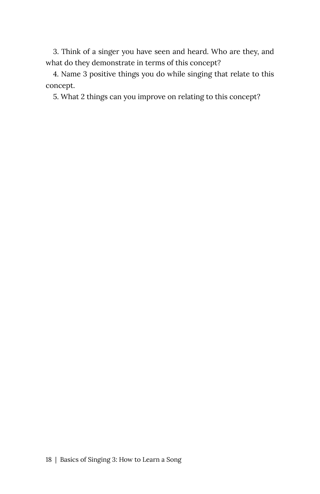3. Think of a singer you have seen and heard. Who are they, and what do they demonstrate in terms of this concept?

4. Name 3 positive things you do while singing that relate to this concept.

5. What 2 things can you improve on relating to this concept?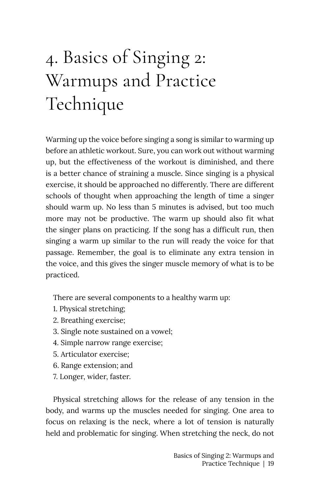# <span id="page-24-0"></span>4. Basics of Singing 2: Warmups and Practice Technique

Warming up the voice before singing a song is similar to warming up before an athletic workout. Sure, you can work out without warming up, but the effectiveness of the workout is diminished, and there is a better chance of straining a muscle. Since singing is a physical exercise, it should be approached no differently. There are different schools of thought when approaching the length of time a singer should warm up. No less than 5 minutes is advised, but too much more may not be productive. The warm up should also fit what the singer plans on practicing. If the song has a difficult run, then singing a warm up similar to the run will ready the voice for that passage. Remember, the goal is to eliminate any extra tension in the voice, and this gives the singer muscle memory of what is to be practiced.

There are several components to a healthy warm up:

- 1. Physical stretching;
- 2. Breathing exercise;
- 3. Single note sustained on a vowel;
- 4. Simple narrow range exercise;
- 5. Articulator exercise;
- 6. Range extension; and
- 7. Longer, wider, faster.

Physical stretching allows for the release of any tension in the body, and warms up the muscles needed for singing. One area to focus on relaxing is the neck, where a lot of tension is naturally held and problematic for singing. When stretching the neck, do not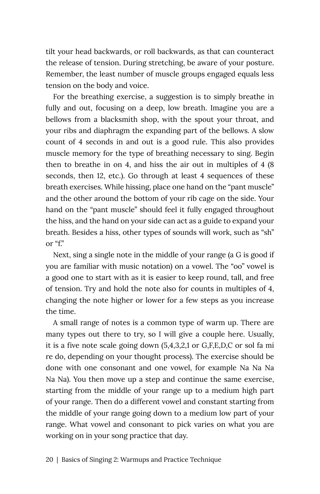tilt your head backwards, or roll backwards, as that can counteract the release of tension. During stretching, be aware of your posture. Remember, the least number of muscle groups engaged equals less tension on the body and voice.

For the breathing exercise, a suggestion is to simply breathe in fully and out, focusing on a deep, low breath. Imagine you are a bellows from a blacksmith shop, with the spout your throat, and your ribs and diaphragm the expanding part of the bellows. A slow count of 4 seconds in and out is a good rule. This also provides muscle memory for the type of breathing necessary to sing. Begin then to breathe in on 4, and hiss the air out in multiples of 4 (8 seconds, then 12, etc.). Go through at least 4 sequences of these breath exercises. While hissing, place one hand on the "pant muscle" and the other around the bottom of your rib cage on the side. Your hand on the "pant muscle" should feel it fully engaged throughout the hiss, and the hand on your side can act as a guide to expand your breath. Besides a hiss, other types of sounds will work, such as "sh" or "f."

Next, sing a single note in the middle of your range (a G is good if you are familiar with music notation) on a vowel. The "oo" vowel is a good one to start with as it is easier to keep round, tall, and free of tension. Try and hold the note also for counts in multiples of 4, changing the note higher or lower for a few steps as you increase the time.

A small range of notes is a common type of warm up. There are many types out there to try, so I will give a couple here. Usually, it is a five note scale going down (5,4,3,2,1 or G,F,E,D,C or sol fa mi re do, depending on your thought process). The exercise should be done with one consonant and one vowel, for example Na Na Na Na Na). You then move up a step and continue the same exercise, starting from the middle of your range up to a medium high part of your range. Then do a different vowel and constant starting from the middle of your range going down to a medium low part of your range. What vowel and consonant to pick varies on what you are working on in your song practice that day.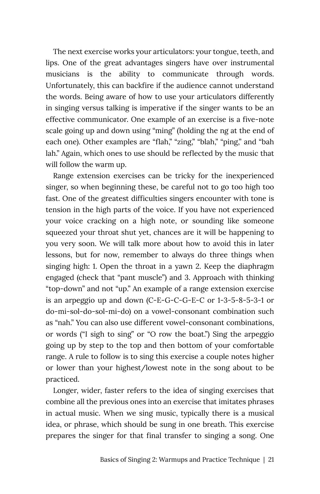The next exercise works your articulators: your tongue, teeth, and lips. One of the great advantages singers have over instrumental musicians is the ability to communicate through words. Unfortunately, this can backfire if the audience cannot understand the words. Being aware of how to use your articulators differently in singing versus talking is imperative if the singer wants to be an effective communicator. One example of an exercise is a five-note scale going up and down using "ming" (holding the ng at the end of each one). Other examples are "flah," "zing," "blah," "ping," and "bah lah." Again, which ones to use should be reflected by the music that will follow the warm up.

Range extension exercises can be tricky for the inexperienced singer, so when beginning these, be careful not to go too high too fast. One of the greatest difficulties singers encounter with tone is tension in the high parts of the voice. If you have not experienced your voice cracking on a high note, or sounding like someone squeezed your throat shut yet, chances are it will be happening to you very soon. We will talk more about how to avoid this in later lessons, but for now, remember to always do three things when singing high: 1. Open the throat in a yawn 2. Keep the diaphragm engaged (check that "pant muscle") and 3. Approach with thinking "top-down" and not "up." An example of a range extension exercise is an arpeggio up and down (C-E-G-C-G-E-C or 1-3-5-8-5-3-1 or do-mi-sol-do-sol-mi-do) on a vowel-consonant combination such as "nah." You can also use different vowel-consonant combinations, or words ("I sigh to sing" or "O row the boat.") Sing the arpeggio going up by step to the top and then bottom of your comfortable range. A rule to follow is to sing this exercise a couple notes higher or lower than your highest/lowest note in the song about to be practiced.

Longer, wider, faster refers to the idea of singing exercises that combine all the previous ones into an exercise that imitates phrases in actual music. When we sing music, typically there is a musical idea, or phrase, which should be sung in one breath. This exercise prepares the singer for that final transfer to singing a song. One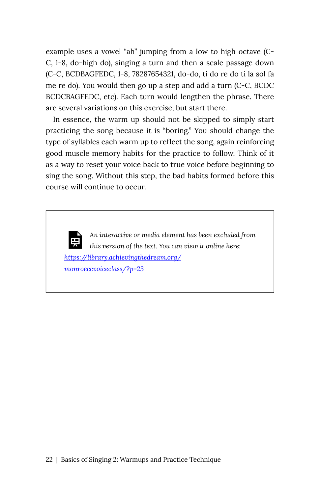example uses a vowel "ah" jumping from a low to high octave (C-C, 1-8, do-high do), singing a turn and then a scale passage down (C-C, BCDBAGFEDC, 1-8, 78287654321, do-do, ti do re do ti la sol fa me re do). You would then go up a step and add a turn (C-C, BCDC BCDCBAGFEDC, etc). Each turn would lengthen the phrase. There are several variations on this exercise, but start there.

In essence, the warm up should not be skipped to simply start practicing the song because it is "boring." You should change the type of syllables each warm up to reflect the song, again reinforcing good muscle memory habits for the practice to follow. Think of it as a way to reset your voice back to true voice before beginning to sing the song. Without this step, the bad habits formed before this course will continue to occur.

*An interactive or media element has been excluded from this version of the text. You can view it online here: [https://library.achievingthedream.org/](https://library.achievingthedream.org/monroeccvoiceclass/?p=23#pb-interactive-content) [monroeccvoiceclass/?p=23](https://library.achievingthedream.org/monroeccvoiceclass/?p=23#pb-interactive-content)*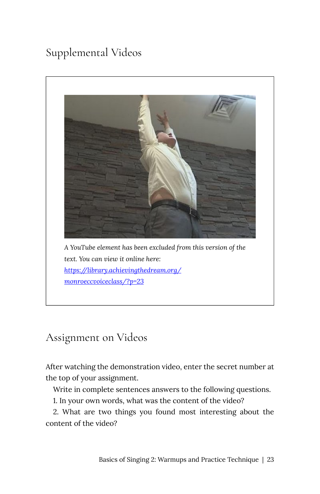## Supplemental Videos



Assignment on Videos

After watching the demonstration video, enter the secret number at the top of your assignment.

Write in complete sentences answers to the following questions.

1. In your own words, what was the content of the video?

2. What are two things you found most interesting about the content of the video?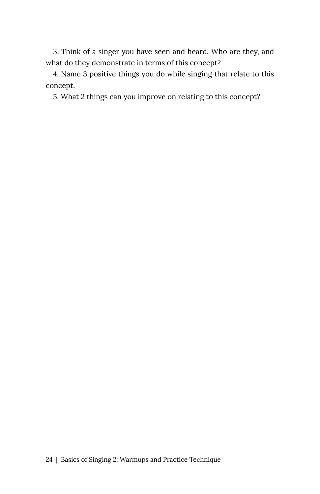3. Think of a singer you have seen and heard. Who are they, and what do they demonstrate in terms of this concept?

4. Name 3 positive things you do while singing that relate to this concept.

5. What 2 things can you improve on relating to this concept?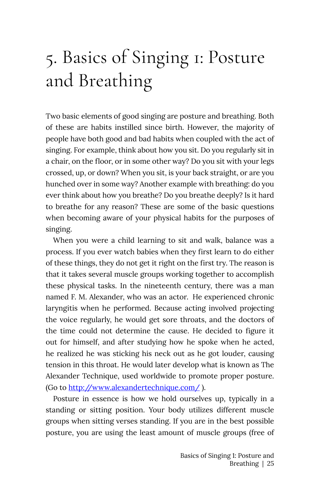# <span id="page-30-0"></span>5. Basics of Singing 1: Posture and Breathing

Two basic elements of good singing are posture and breathing. Both of these are habits instilled since birth. However, the majority of people have both good and bad habits when coupled with the act of singing. For example, think about how you sit. Do you regularly sit in a chair, on the floor, or in some other way? Do you sit with your legs crossed, up, or down? When you sit, is your back straight, or are you hunched over in some way? Another example with breathing: do you ever think about how you breathe? Do you breathe deeply? Is it hard to breathe for any reason? These are some of the basic questions when becoming aware of your physical habits for the purposes of singing.

When you were a child learning to sit and walk, balance was a process. If you ever watch babies when they first learn to do either of these things, they do not get it right on the first try. The reason is that it takes several muscle groups working together to accomplish these physical tasks. In the nineteenth century, there was a man named F. M. Alexander, who was an actor. He experienced chronic laryngitis when he performed. Because acting involved projecting the voice regularly, he would get sore throats, and the doctors of the time could not determine the cause. He decided to figure it out for himself, and after studying how he spoke when he acted, he realized he was sticking his neck out as he got louder, causing tension in this throat. He would later develop what is known as The Alexander Technique, used worldwide to promote proper posture. (Go to <http://www.alexandertechnique.com/> ).

Posture in essence is how we hold ourselves up, typically in a standing or sitting position. Your body utilizes different muscle groups when sitting verses standing. If you are in the best possible posture, you are using the least amount of muscle groups (free of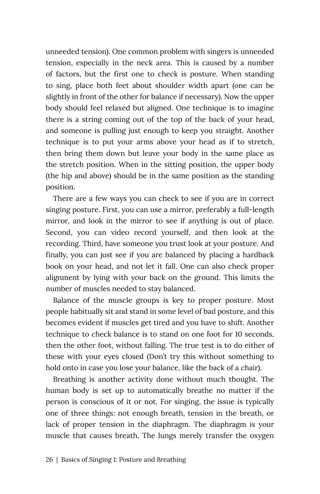unneeded tension). One common problem with singers is unneeded tension, especially in the neck area. This is caused by a number of factors, but the first one to check is posture. When standing to sing, place both feet about shoulder width apart (one can be slightly in front of the other for balance if necessary). Now the upper body should feel relaxed but aligned. One technique is to imagine there is a string coming out of the top of the back of your head, and someone is pulling just enough to keep you straight. Another technique is to put your arms above your head as if to stretch, then bring them down but leave your body in the same place as the stretch position. When in the sitting position, the upper body (the hip and above) should be in the same position as the standing position.

There are a few ways you can check to see if you are in correct singing posture. First, you can use a mirror, preferably a full-length mirror, and look in the mirror to see if anything is out of place. Second, you can video record yourself, and then look at the recording. Third, have someone you trust look at your posture. And finally, you can just see if you are balanced by placing a hardback book on your head, and not let it fall. One can also check proper alignment by lying with your back on the ground. This limits the number of muscles needed to stay balanced.

Balance of the muscle groups is key to proper posture. Most people habitually sit and stand in some level of bad posture, and this becomes evident if muscles get tired and you have to shift. Another technique to check balance is to stand on one foot for 10 seconds, then the other foot, without falling. The true test is to do either of these with your eyes closed (Don't try this without something to hold onto in case you lose your balance, like the back of a chair).

Breathing is another activity done without much thought. The human body is set up to automatically breathe no matter if the person is conscious of it or not. For singing, the issue is typically one of three things: not enough breath, tension in the breath, or lack of proper tension in the diaphragm. The diaphragm is your muscle that causes breath. The lungs merely transfer the oxygen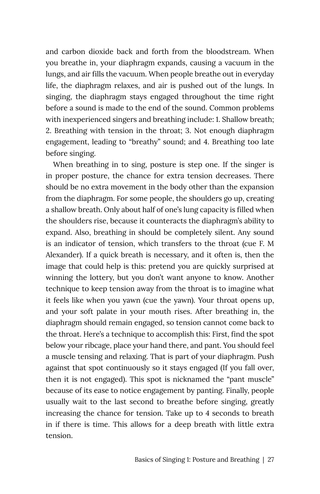and carbon dioxide back and forth from the bloodstream. When you breathe in, your diaphragm expands, causing a vacuum in the lungs, and air fills the vacuum. When people breathe out in everyday life, the diaphragm relaxes, and air is pushed out of the lungs. In singing, the diaphragm stays engaged throughout the time right before a sound is made to the end of the sound. Common problems with inexperienced singers and breathing include: 1. Shallow breath; 2. Breathing with tension in the throat; 3. Not enough diaphragm engagement, leading to "breathy" sound; and 4. Breathing too late before singing.

When breathing in to sing, posture is step one. If the singer is in proper posture, the chance for extra tension decreases. There should be no extra movement in the body other than the expansion from the diaphragm. For some people, the shoulders go up, creating a shallow breath. Only about half of one's lung capacity is filled when the shoulders rise, because it counteracts the diaphragm's ability to expand. Also, breathing in should be completely silent. Any sound is an indicator of tension, which transfers to the throat (cue F. M Alexander). If a quick breath is necessary, and it often is, then the image that could help is this: pretend you are quickly surprised at winning the lottery, but you don't want anyone to know. Another technique to keep tension away from the throat is to imagine what it feels like when you yawn (cue the yawn). Your throat opens up, and your soft palate in your mouth rises. After breathing in, the diaphragm should remain engaged, so tension cannot come back to the throat. Here's a technique to accomplish this: First, find the spot below your ribcage, place your hand there, and pant. You should feel a muscle tensing and relaxing. That is part of your diaphragm. Push against that spot continuously so it stays engaged (If you fall over, then it is not engaged). This spot is nicknamed the "pant muscle" because of its ease to notice engagement by panting. Finally, people usually wait to the last second to breathe before singing, greatly increasing the chance for tension. Take up to 4 seconds to breath in if there is time. This allows for a deep breath with little extra tension.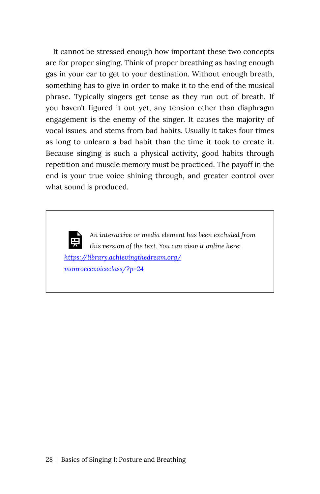It cannot be stressed enough how important these two concepts are for proper singing. Think of proper breathing as having enough gas in your car to get to your destination. Without enough breath, something has to give in order to make it to the end of the musical phrase. Typically singers get tense as they run out of breath. If you haven't figured it out yet, any tension other than diaphragm engagement is the enemy of the singer. It causes the majority of vocal issues, and stems from bad habits. Usually it takes four times as long to unlearn a bad habit than the time it took to create it. Because singing is such a physical activity, good habits through repetition and muscle memory must be practiced. The payoff in the end is your true voice shining through, and greater control over what sound is produced.

*An interactive or media element has been excluded from this version of the text. You can view it online here: [https://library.achievingthedream.org/](https://library.achievingthedream.org/monroeccvoiceclass/?p=24#pb-interactive-content) [monroeccvoiceclass/?p=24](https://library.achievingthedream.org/monroeccvoiceclass/?p=24#pb-interactive-content)*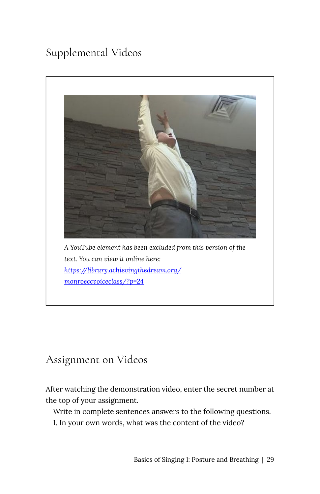## Supplemental Videos



### Assignment on Videos

After watching the demonstration video, enter the secret number at the top of your assignment.

Write in complete sentences answers to the following questions.

1. In your own words, what was the content of the video?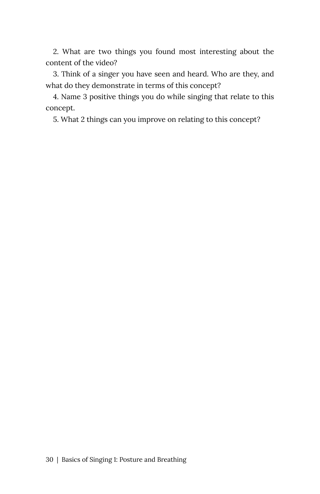2. What are two things you found most interesting about the content of the video?

3. Think of a singer you have seen and heard. Who are they, and what do they demonstrate in terms of this concept?

4. Name 3 positive things you do while singing that relate to this concept.

5. What 2 things can you improve on relating to this concept?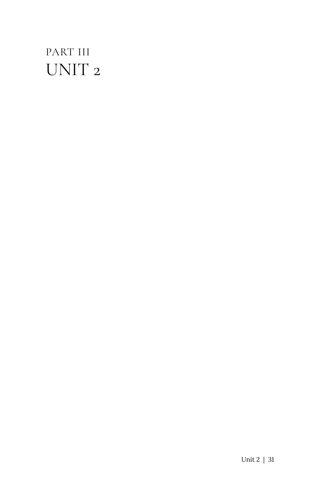## <span id="page-36-0"></span>PART III UNIT 2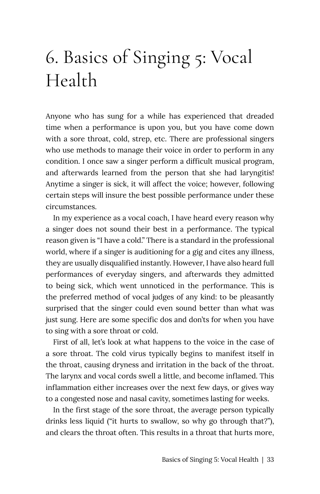## <span id="page-38-0"></span>6. Basics of Singing 5: Vocal Health

Anyone who has sung for a while has experienced that dreaded time when a performance is upon you, but you have come down with a sore throat, cold, strep, etc. There are professional singers who use methods to manage their voice in order to perform in any condition. I once saw a singer perform a difficult musical program, and afterwards learned from the person that she had laryngitis! Anytime a singer is sick, it will affect the voice; however, following certain steps will insure the best possible performance under these circumstances.

In my experience as a vocal coach, I have heard every reason why a singer does not sound their best in a performance. The typical reason given is "I have a cold." There is a standard in the professional world, where if a singer is auditioning for a gig and cites any illness, they are usually disqualified instantly. However, I have also heard full performances of everyday singers, and afterwards they admitted to being sick, which went unnoticed in the performance. This is the preferred method of vocal judges of any kind: to be pleasantly surprised that the singer could even sound better than what was just sung. Here are some specific dos and don'ts for when you have to sing with a sore throat or cold.

First of all, let's look at what happens to the voice in the case of a sore throat. The cold virus typically begins to manifest itself in the throat, causing dryness and irritation in the back of the throat. The larynx and vocal cords swell a little, and become inflamed. This inflammation either increases over the next few days, or gives way to a congested nose and nasal cavity, sometimes lasting for weeks.

In the first stage of the sore throat, the average person typically drinks less liquid ("it hurts to swallow, so why go through that?"), and clears the throat often. This results in a throat that hurts more,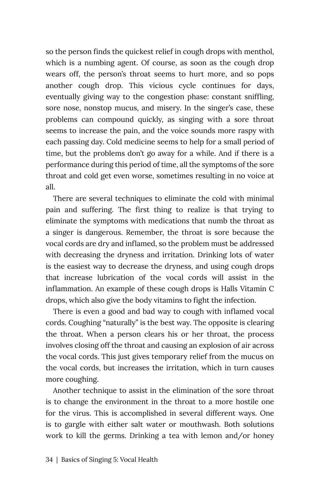so the person finds the quickest relief in cough drops with menthol, which is a numbing agent. Of course, as soon as the cough drop wears off, the person's throat seems to hurt more, and so pops another cough drop. This vicious cycle continues for days, eventually giving way to the congestion phase: constant sniffling, sore nose, nonstop mucus, and misery. In the singer's case, these problems can compound quickly, as singing with a sore throat seems to increase the pain, and the voice sounds more raspy with each passing day. Cold medicine seems to help for a small period of time, but the problems don't go away for a while. And if there is a performance during this period of time, all the symptoms of the sore throat and cold get even worse, sometimes resulting in no voice at all.

There are several techniques to eliminate the cold with minimal pain and suffering. The first thing to realize is that trying to eliminate the symptoms with medications that numb the throat as a singer is dangerous. Remember, the throat is sore because the vocal cords are dry and inflamed, so the problem must be addressed with decreasing the dryness and irritation. Drinking lots of water is the easiest way to decrease the dryness, and using cough drops that increase lubrication of the vocal cords will assist in the inflammation. An example of these cough drops is Halls Vitamin C drops, which also give the body vitamins to fight the infection.

There is even a good and bad way to cough with inflamed vocal cords. Coughing "naturally" is the best way. The opposite is clearing the throat. When a person clears his or her throat, the process involves closing off the throat and causing an explosion of air across the vocal cords. This just gives temporary relief from the mucus on the vocal cords, but increases the irritation, which in turn causes more coughing.

Another technique to assist in the elimination of the sore throat is to change the environment in the throat to a more hostile one for the virus. This is accomplished in several different ways. One is to gargle with either salt water or mouthwash. Both solutions work to kill the germs. Drinking a tea with lemon and/or honey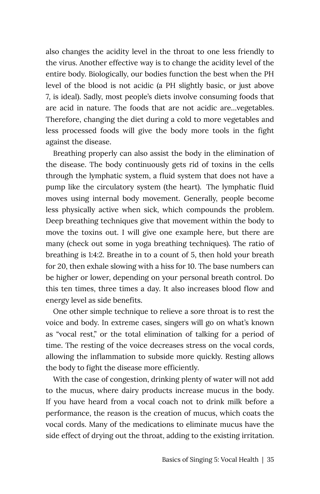also changes the acidity level in the throat to one less friendly to the virus. Another effective way is to change the acidity level of the entire body. Biologically, our bodies function the best when the PH level of the blood is not acidic (a PH slightly basic, or just above 7, is ideal). Sadly, most people's diets involve consuming foods that are acid in nature. The foods that are not acidic are…vegetables. Therefore, changing the diet during a cold to more vegetables and less processed foods will give the body more tools in the fight against the disease.

Breathing properly can also assist the body in the elimination of the disease. The body continuously gets rid of toxins in the cells through the lymphatic system, a fluid system that does not have a pump like the circulatory system (the heart). The lymphatic fluid moves using internal body movement. Generally, people become less physically active when sick, which compounds the problem. Deep breathing techniques give that movement within the body to move the toxins out. I will give one example here, but there are many (check out some in yoga breathing techniques). The ratio of breathing is 1:4:2. Breathe in to a count of 5, then hold your breath for 20, then exhale slowing with a hiss for 10. The base numbers can be higher or lower, depending on your personal breath control. Do this ten times, three times a day. It also increases blood flow and energy level as side benefits.

One other simple technique to relieve a sore throat is to rest the voice and body. In extreme cases, singers will go on what's known as "vocal rest," or the total elimination of talking for a period of time. The resting of the voice decreases stress on the vocal cords, allowing the inflammation to subside more quickly. Resting allows the body to fight the disease more efficiently.

With the case of congestion, drinking plenty of water will not add to the mucus, where dairy products increase mucus in the body. If you have heard from a vocal coach not to drink milk before a performance, the reason is the creation of mucus, which coats the vocal cords. Many of the medications to eliminate mucus have the side effect of drying out the throat, adding to the existing irritation.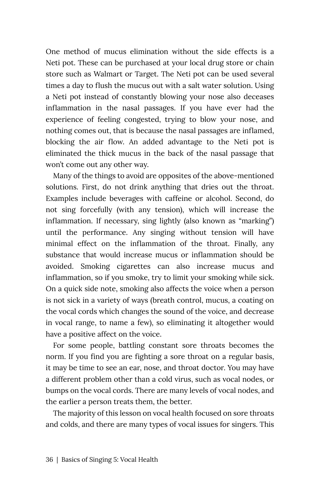One method of mucus elimination without the side effects is a Neti pot. These can be purchased at your local drug store or chain store such as Walmart or Target. The Neti pot can be used several times a day to flush the mucus out with a salt water solution. Using a Neti pot instead of constantly blowing your nose also deceases inflammation in the nasal passages. If you have ever had the experience of feeling congested, trying to blow your nose, and nothing comes out, that is because the nasal passages are inflamed, blocking the air flow. An added advantage to the Neti pot is eliminated the thick mucus in the back of the nasal passage that won't come out any other way.

Many of the things to avoid are opposites of the above-mentioned solutions. First, do not drink anything that dries out the throat. Examples include beverages with caffeine or alcohol. Second, do not sing forcefully (with any tension), which will increase the inflammation. If necessary, sing lightly (also known as "marking") until the performance. Any singing without tension will have minimal effect on the inflammation of the throat. Finally, any substance that would increase mucus or inflammation should be avoided. Smoking cigarettes can also increase mucus and inflammation, so if you smoke, try to limit your smoking while sick. On a quick side note, smoking also affects the voice when a person is not sick in a variety of ways (breath control, mucus, a coating on the vocal cords which changes the sound of the voice, and decrease in vocal range, to name a few), so eliminating it altogether would have a positive affect on the voice.

For some people, battling constant sore throats becomes the norm. If you find you are fighting a sore throat on a regular basis, it may be time to see an ear, nose, and throat doctor. You may have a different problem other than a cold virus, such as vocal nodes, or bumps on the vocal cords. There are many levels of vocal nodes, and the earlier a person treats them, the better.

The majority of this lesson on vocal health focused on sore throats and colds, and there are many types of vocal issues for singers. This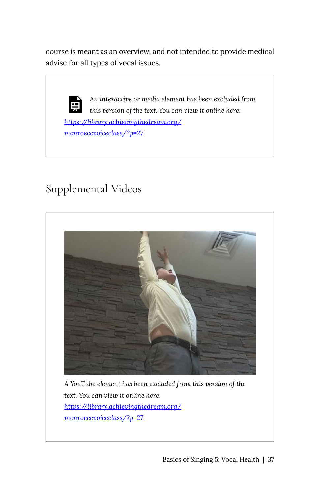course is meant as an overview, and not intended to provide medical advise for all types of vocal issues.

*An interactive or media element has been excluded from*  l și *this version of the text. You can view it online here: [https://library.achievingthedream.org/](https://library.achievingthedream.org/monroeccvoiceclass/?p=27#pb-interactive-content) [monroeccvoiceclass/?p=27](https://library.achievingthedream.org/monroeccvoiceclass/?p=27#pb-interactive-content)* 

### Supplemental Videos



*A YouTube element has been excluded from this version of the text. You can view it online here: [https://library.achievingthedream.org/](https://library.achievingthedream.org/monroeccvoiceclass/?p=27#pb-interactive-content) [monroeccvoiceclass/?p=27](https://library.achievingthedream.org/monroeccvoiceclass/?p=27#pb-interactive-content)*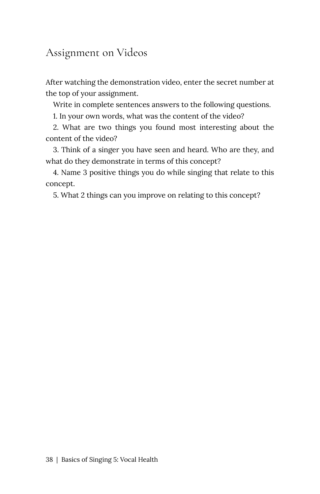### Assignment on Videos

After watching the demonstration video, enter the secret number at the top of your assignment.

Write in complete sentences answers to the following questions.

1. In your own words, what was the content of the video?

2. What are two things you found most interesting about the content of the video?

3. Think of a singer you have seen and heard. Who are they, and what do they demonstrate in terms of this concept?

4. Name 3 positive things you do while singing that relate to this concept.

5. What 2 things can you improve on relating to this concept?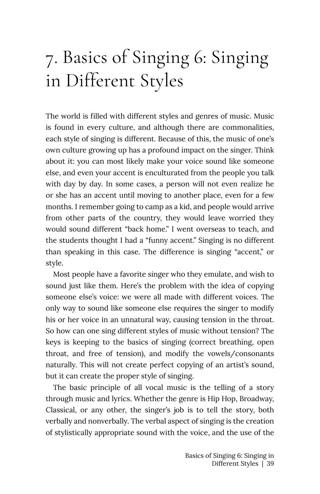# <span id="page-44-0"></span>7. Basics of Singing 6: Singing in Different Styles

The world is filled with different styles and genres of music. Music is found in every culture, and although there are commonalities, each style of singing is different. Because of this, the music of one's own culture growing up has a profound impact on the singer. Think about it: you can most likely make your voice sound like someone else, and even your accent is enculturated from the people you talk with day by day. In some cases, a person will not even realize he or she has an accent until moving to another place, even for a few months. I remember going to camp as a kid, and people would arrive from other parts of the country, they would leave worried they would sound different "back home." I went overseas to teach, and the students thought I had a "funny accent." Singing is no different than speaking in this case. The difference is singing "accent," or style.

Most people have a favorite singer who they emulate, and wish to sound just like them. Here's the problem with the idea of copying someone else's voice: we were all made with different voices. The only way to sound like someone else requires the singer to modify his or her voice in an unnatural way, causing tension in the throat. So how can one sing different styles of music without tension? The keys is keeping to the basics of singing (correct breathing, open throat, and free of tension), and modify the vowels/consonants naturally. This will not create perfect copying of an artist's sound, but it can create the proper style of singing.

The basic principle of all vocal music is the telling of a story through music and lyrics. Whether the genre is Hip Hop, Broadway, Classical, or any other, the singer's job is to tell the story, both verbally and nonverbally. The verbal aspect of singing is the creation of stylistically appropriate sound with the voice, and the use of the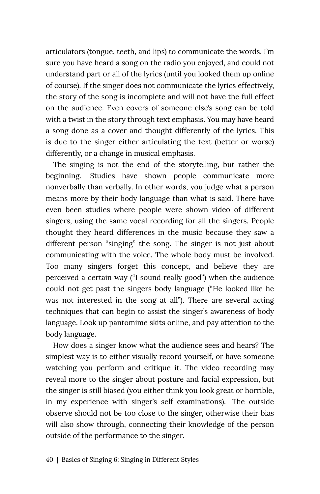articulators (tongue, teeth, and lips) to communicate the words. I'm sure you have heard a song on the radio you enjoyed, and could not understand part or all of the lyrics (until you looked them up online of course). If the singer does not communicate the lyrics effectively, the story of the song is incomplete and will not have the full effect on the audience. Even covers of someone else's song can be told with a twist in the story through text emphasis. You may have heard a song done as a cover and thought differently of the lyrics. This is due to the singer either articulating the text (better or worse) differently, or a change in musical emphasis.

The singing is not the end of the storytelling, but rather the beginning. Studies have shown people communicate more nonverbally than verbally. In other words, you judge what a person means more by their body language than what is said. There have even been studies where people were shown video of different singers, using the same vocal recording for all the singers. People thought they heard differences in the music because they saw a different person "singing" the song. The singer is not just about communicating with the voice. The whole body must be involved. Too many singers forget this concept, and believe they are perceived a certain way ("I sound really good") when the audience could not get past the singers body language ("He looked like he was not interested in the song at all"). There are several acting techniques that can begin to assist the singer's awareness of body language. Look up pantomime skits online, and pay attention to the body language.

How does a singer know what the audience sees and hears? The simplest way is to either visually record yourself, or have someone watching you perform and critique it. The video recording may reveal more to the singer about posture and facial expression, but the singer is still biased (you either think you look great or horrible, in my experience with singer's self examinations). The outside observe should not be too close to the singer, otherwise their bias will also show through, connecting their knowledge of the person outside of the performance to the singer.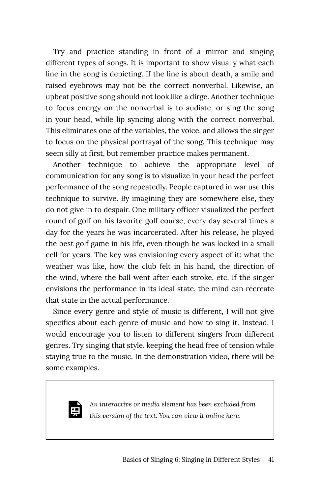Try and practice standing in front of a mirror and singing different types of songs. It is important to show visually what each line in the song is depicting. If the line is about death, a smile and raised eyebrows may not be the correct nonverbal. Likewise, an upbeat positive song should not look like a dirge. Another technique to focus energy on the nonverbal is to audiate, or sing the song in your head, while lip syncing along with the correct nonverbal. This eliminates one of the variables, the voice, and allows the singer to focus on the physical portrayal of the song. This technique may seem silly at first, but remember practice makes permanent.

Another technique to achieve the appropriate level of communication for any song is to visualize in your head the perfect performance of the song repeatedly. People captured in war use this technique to survive. By imagining they are somewhere else, they do not give in to despair. One military officer visualized the perfect round of golf on his favorite golf course, every day several times a day for the years he was incarcerated. After his release, he played the best golf game in his life, even though he was locked in a small cell for years. The key was envisioning every aspect of it: what the weather was like, how the club felt in his hand, the direction of the wind, where the ball went after each stroke, etc. If the singer envisions the performance in its ideal state, the mind can recreate that state in the actual performance.

Since every genre and style of music is different, I will not give specifics about each genre of music and how to sing it. Instead, I would encourage you to listen to different singers from different genres. Try singing that style, keeping the head free of tension while staying true to the music. In the demonstration video, there will be some examples.



*An interactive or media element has been excluded from this version of the text. You can view it online here:*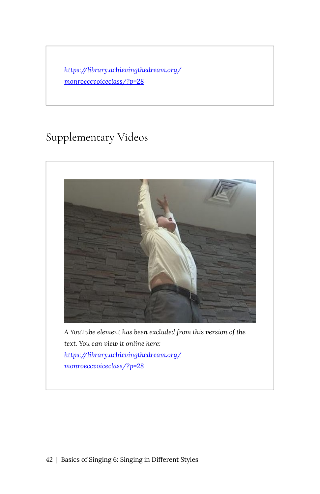*[https://library.achievingthedream.org/](https://library.achievingthedream.org/monroeccvoiceclass/?p=28#pb-interactive-content) [monroeccvoiceclass/?p=28](https://library.achievingthedream.org/monroeccvoiceclass/?p=28#pb-interactive-content)* 

### Supplementary Videos

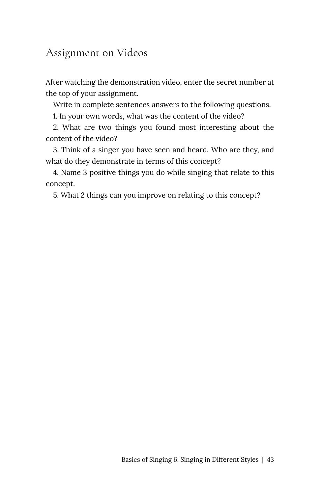#### Assignment on Videos

After watching the demonstration video, enter the secret number at the top of your assignment.

Write in complete sentences answers to the following questions.

1. In your own words, what was the content of the video?

2. What are two things you found most interesting about the content of the video?

3. Think of a singer you have seen and heard. Who are they, and what do they demonstrate in terms of this concept?

4. Name 3 positive things you do while singing that relate to this concept.

5. What 2 things can you improve on relating to this concept?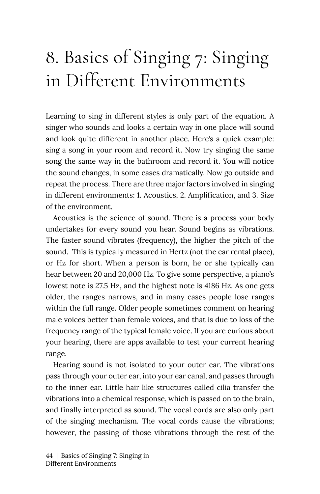# <span id="page-49-0"></span>8. Basics of Singing 7: Singing in Different Environments

Learning to sing in different styles is only part of the equation. A singer who sounds and looks a certain way in one place will sound and look quite different in another place. Here's a quick example: sing a song in your room and record it. Now try singing the same song the same way in the bathroom and record it. You will notice the sound changes, in some cases dramatically. Now go outside and repeat the process. There are three major factors involved in singing in different environments: 1. Acoustics, 2. Amplification, and 3. Size of the environment.

Acoustics is the science of sound. There is a process your body undertakes for every sound you hear. Sound begins as vibrations. The faster sound vibrates (frequency), the higher the pitch of the sound. This is typically measured in Hertz (not the car rental place), or Hz for short. When a person is born, he or she typically can hear between 20 and 20,000 Hz. To give some perspective, a piano's lowest note is 27.5 Hz, and the highest note is 4186 Hz. As one gets older, the ranges narrows, and in many cases people lose ranges within the full range. Older people sometimes comment on hearing male voices better than female voices, and that is due to loss of the frequency range of the typical female voice. If you are curious about your hearing, there are apps available to test your current hearing range.

Hearing sound is not isolated to your outer ear. The vibrations pass through your outer ear, into your ear canal, and passes through to the inner ear. Little hair like structures called cilia transfer the vibrations into a chemical response, which is passed on to the brain, and finally interpreted as sound. The vocal cords are also only part of the singing mechanism. The vocal cords cause the vibrations; however, the passing of those vibrations through the rest of the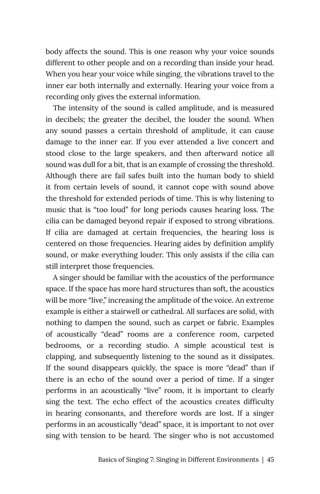body affects the sound. This is one reason why your voice sounds different to other people and on a recording than inside your head. When you hear your voice while singing, the vibrations travel to the inner ear both internally and externally. Hearing your voice from a recording only gives the external information.

The intensity of the sound is called amplitude, and is measured in decibels; the greater the decibel, the louder the sound. When any sound passes a certain threshold of amplitude, it can cause damage to the inner ear. If you ever attended a live concert and stood close to the large speakers, and then afterward notice all sound was dull for a bit, that is an example of crossing the threshold. Although there are fail safes built into the human body to shield it from certain levels of sound, it cannot cope with sound above the threshold for extended periods of time. This is why listening to music that is "too loud" for long periods causes hearing loss. The cilia can be damaged beyond repair if exposed to strong vibrations. If cilia are damaged at certain frequencies, the hearing loss is centered on those frequencies. Hearing aides by definition amplify sound, or make everything louder. This only assists if the cilia can still interpret those frequencies.

A singer should be familiar with the acoustics of the performance space. If the space has more hard structures than soft, the acoustics will be more "live," increasing the amplitude of the voice. An extreme example is either a stairwell or cathedral. All surfaces are solid, with nothing to dampen the sound, such as carpet or fabric. Examples of acoustically "dead" rooms are a conference room, carpeted bedrooms, or a recording studio. A simple acoustical test is clapping, and subsequently listening to the sound as it dissipates. If the sound disappears quickly, the space is more "dead" than if there is an echo of the sound over a period of time. If a singer performs in an acoustically "live" room, it is important to clearly sing the text. The echo effect of the acoustics creates difficulty in hearing consonants, and therefore words are lost. If a singer performs in an acoustically "dead" space, it is important to not over sing with tension to be heard. The singer who is not accustomed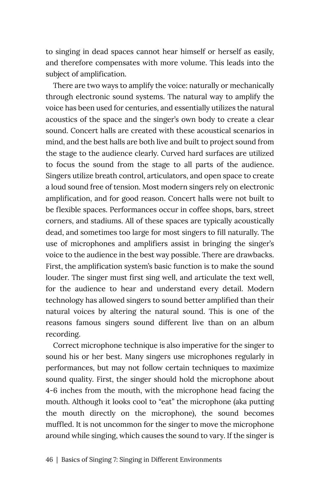to singing in dead spaces cannot hear himself or herself as easily, and therefore compensates with more volume. This leads into the subject of amplification.

There are two ways to amplify the voice: naturally or mechanically through electronic sound systems. The natural way to amplify the voice has been used for centuries, and essentially utilizes the natural acoustics of the space and the singer's own body to create a clear sound. Concert halls are created with these acoustical scenarios in mind, and the best halls are both live and built to project sound from the stage to the audience clearly. Curved hard surfaces are utilized to focus the sound from the stage to all parts of the audience. Singers utilize breath control, articulators, and open space to create a loud sound free of tension. Most modern singers rely on electronic amplification, and for good reason. Concert halls were not built to be flexible spaces. Performances occur in coffee shops, bars, street corners, and stadiums. All of these spaces are typically acoustically dead, and sometimes too large for most singers to fill naturally. The use of microphones and amplifiers assist in bringing the singer's voice to the audience in the best way possible. There are drawbacks. First, the amplification system's basic function is to make the sound louder. The singer must first sing well, and articulate the text well, for the audience to hear and understand every detail. Modern technology has allowed singers to sound better amplified than their natural voices by altering the natural sound. This is one of the reasons famous singers sound different live than on an album recording.

Correct microphone technique is also imperative for the singer to sound his or her best. Many singers use microphones regularly in performances, but may not follow certain techniques to maximize sound quality. First, the singer should hold the microphone about 4-6 inches from the mouth, with the microphone head facing the mouth. Although it looks cool to "eat" the microphone (aka putting the mouth directly on the microphone), the sound becomes muffled. It is not uncommon for the singer to move the microphone around while singing, which causes the sound to vary. If the singer is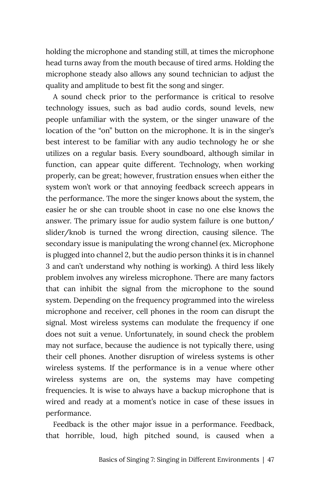holding the microphone and standing still, at times the microphone head turns away from the mouth because of tired arms. Holding the microphone steady also allows any sound technician to adjust the quality and amplitude to best fit the song and singer.

A sound check prior to the performance is critical to resolve technology issues, such as bad audio cords, sound levels, new people unfamiliar with the system, or the singer unaware of the location of the "on" button on the microphone. It is in the singer's best interest to be familiar with any audio technology he or she utilizes on a regular basis. Every soundboard, although similar in function, can appear quite different. Technology, when working properly, can be great; however, frustration ensues when either the system won't work or that annoying feedback screech appears in the performance. The more the singer knows about the system, the easier he or she can trouble shoot in case no one else knows the answer. The primary issue for audio system failure is one button/ slider/knob is turned the wrong direction, causing silence. The secondary issue is manipulating the wrong channel (ex. Microphone is plugged into channel 2, but the audio person thinks it is in channel 3 and can't understand why nothing is working). A third less likely problem involves any wireless microphone. There are many factors that can inhibit the signal from the microphone to the sound system. Depending on the frequency programmed into the wireless microphone and receiver, cell phones in the room can disrupt the signal. Most wireless systems can modulate the frequency if one does not suit a venue. Unfortunately, in sound check the problem may not surface, because the audience is not typically there, using their cell phones. Another disruption of wireless systems is other wireless systems. If the performance is in a venue where other wireless systems are on, the systems may have competing frequencies. It is wise to always have a backup microphone that is wired and ready at a moment's notice in case of these issues in performance.

Feedback is the other major issue in a performance. Feedback, that horrible, loud, high pitched sound, is caused when a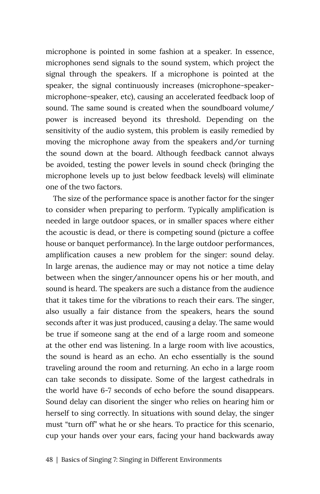microphone is pointed in some fashion at a speaker. In essence, microphones send signals to the sound system, which project the signal through the speakers. If a microphone is pointed at the speaker, the signal continuously increases (microphone-speakermicrophone-speaker, etc), causing an accelerated feedback loop of sound. The same sound is created when the soundboard volume/ power is increased beyond its threshold. Depending on the sensitivity of the audio system, this problem is easily remedied by moving the microphone away from the speakers and/or turning the sound down at the board. Although feedback cannot always be avoided, testing the power levels in sound check (bringing the microphone levels up to just below feedback levels) will eliminate one of the two factors.

The size of the performance space is another factor for the singer to consider when preparing to perform. Typically amplification is needed in large outdoor spaces, or in smaller spaces where either the acoustic is dead, or there is competing sound (picture a coffee house or banquet performance). In the large outdoor performances, amplification causes a new problem for the singer: sound delay. In large arenas, the audience may or may not notice a time delay between when the singer/announcer opens his or her mouth, and sound is heard. The speakers are such a distance from the audience that it takes time for the vibrations to reach their ears. The singer, also usually a fair distance from the speakers, hears the sound seconds after it was just produced, causing a delay. The same would be true if someone sang at the end of a large room and someone at the other end was listening. In a large room with live acoustics, the sound is heard as an echo. An echo essentially is the sound traveling around the room and returning. An echo in a large room can take seconds to dissipate. Some of the largest cathedrals in the world have 6-7 seconds of echo before the sound disappears. Sound delay can disorient the singer who relies on hearing him or herself to sing correctly. In situations with sound delay, the singer must "turn off" what he or she hears. To practice for this scenario, cup your hands over your ears, facing your hand backwards away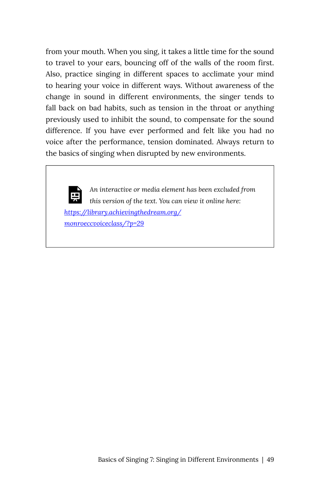from your mouth. When you sing, it takes a little time for the sound to travel to your ears, bouncing off of the walls of the room first. Also, practice singing in different spaces to acclimate your mind to hearing your voice in different ways. Without awareness of the change in sound in different environments, the singer tends to fall back on bad habits, such as tension in the throat or anything previously used to inhibit the sound, to compensate for the sound difference. If you have ever performed and felt like you had no voice after the performance, tension dominated. Always return to the basics of singing when disrupted by new environments.

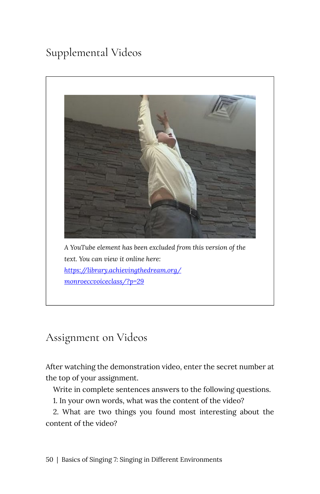## Supplemental Videos



Assignment on Videos

After watching the demonstration video, enter the secret number at the top of your assignment.

Write in complete sentences answers to the following questions.

1. In your own words, what was the content of the video?

2. What are two things you found most interesting about the content of the video?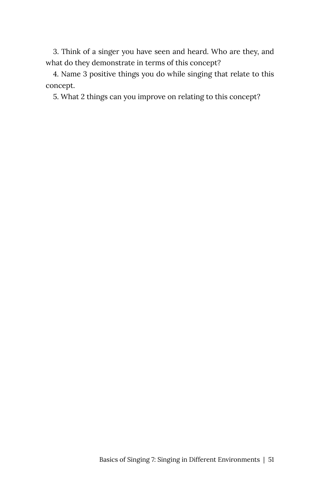3. Think of a singer you have seen and heard. Who are they, and what do they demonstrate in terms of this concept?

4. Name 3 positive things you do while singing that relate to this concept.

5. What 2 things can you improve on relating to this concept?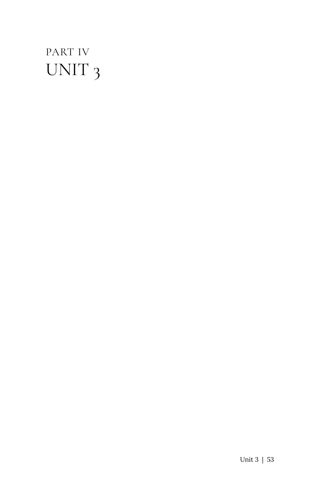## <span id="page-58-0"></span>PART IV UNIT 3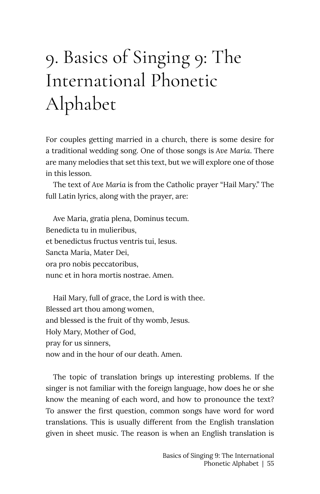# <span id="page-60-0"></span>9. Basics of Singing 9: The International Phonetic Alphabet

For couples getting married in a church, there is some desire for a traditional wedding song. One of those songs is *Ave Maria*. There are many melodies that set this text, but we will explore one of those in this lesson.

The text of *Ave Maria* is from the Catholic prayer "Hail Mary." The full Latin lyrics, along with the prayer, are:

Ave Maria, gratia plena, Dominus tecum. Benedicta tu in mulieribus, et benedictus fructus ventris tui, Iesus. Sancta Maria, Mater Dei, ora pro nobis peccatoribus, nunc et in hora mortis nostrae. Amen.

Hail Mary, full of grace, the Lord is with thee. Blessed art thou among women, and blessed is the fruit of thy womb, Jesus. Holy Mary, Mother of God, pray for us sinners, now and in the hour of our death. Amen.

The topic of translation brings up interesting problems. If the singer is not familiar with the foreign language, how does he or she know the meaning of each word, and how to pronounce the text? To answer the first question, common songs have word for word translations. This is usually different from the English translation given in sheet music. The reason is when an English translation is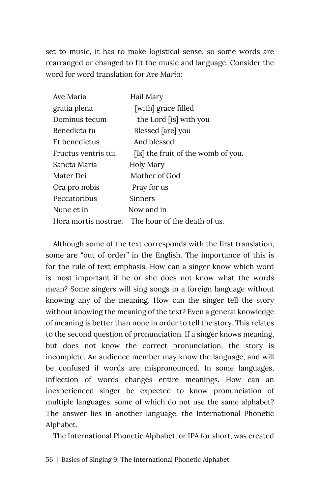set to music, it has to make logistical sense, so some words are rearranged or changed to fit the music and language. Consider the word for word translation for *Ave Maria*:

| Ave Maria            | Hail Mary                          |
|----------------------|------------------------------------|
| gratia plena         | [with] grace filled                |
| Dominus tecum        | the Lord [is] with you             |
| Benedicta tu         | Blessed [are] you                  |
| Et benedictus        | And blessed                        |
| Fructus ventris tui. | [Is] the fruit of the womb of you. |
| Sancta Maria         | Holy Mary                          |
| Mater Dei            | Mother of God                      |
| Ora pro nobis        | Pray for us                        |
| Peccatoribus         | Sinners                            |
| Nunc et in           | Now and in                         |
| Hora mortis nostrae. | The hour of the death of us.       |

Although some of the text corresponds with the first translation, some are "out of order" in the English. The importance of this is for the rule of text emphasis. How can a singer know which word is most important if he or she does not know what the words mean? Some singers will sing songs in a foreign language without knowing any of the meaning. How can the singer tell the story without knowing the meaning of the text? Even a general knowledge of meaning is better than none in order to tell the story. This relates to the second question of pronunciation. If a singer knows meaning, but does not know the correct pronunciation, the story is incomplete. An audience member may know the language, and will be confused if words are mispronounced. In some languages, inflection of words changes entire meanings. How can an inexperienced singer be expected to know pronunciation of multiple languages, some of which do not use the same alphabet? The answer lies in another language, the International Phonetic Alphabet.

The International Phonetic Alphabet, or IPA for short, was created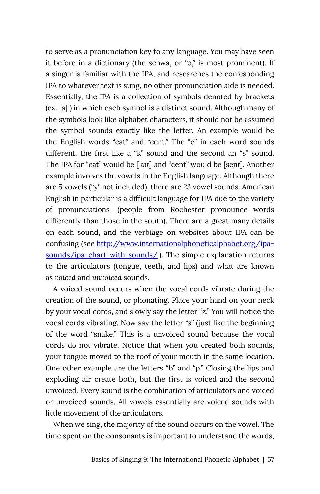to serve as a pronunciation key to any language. You may have seen it before in a dictionary (the schwa, or "ə," is most prominent). If a singer is familiar with the IPA, and researches the corresponding IPA to whatever text is sung, no other pronunciation aide is needed. Essentially, the IPA is a collection of symbols denoted by brackets (ex. [a] ) in which each symbol is a distinct sound. Although many of the symbols look like alphabet characters, it should not be assumed the symbol sounds exactly like the letter. An example would be the English words "cat" and "cent." The "c" in each word sounds different, the first like a "k" sound and the second an "s" sound. The IPA for "cat" would be [kat] and "cent" would be [sent]. Another example involves the vowels in the English language. Although there are 5 vowels ("y" not included), there are 23 vowel sounds. American English in particular is a difficult language for IPA due to the variety of pronunciations (people from Rochester pronounce words differently than those in the south). There are a great many details on each sound, and the verbiage on websites about IPA can be confusing (see [http://www.internationalphoneticalphabet.org/ipa](http://www.internationalphoneticalphabet.org/ipa-sounds/ipa-chart-with-sounds/)[sounds/ipa-chart-with-sounds/](http://www.internationalphoneticalphabet.org/ipa-sounds/ipa-chart-with-sounds/) ). The simple explanation returns to the articulators (tongue, teeth, and lips) and what are known as *voiced* and *unvoiced* sounds.

A voiced sound occurs when the vocal cords vibrate during the creation of the sound, or phonating. Place your hand on your neck by your vocal cords, and slowly say the letter "z." You will notice the vocal cords vibrating. Now say the letter "s" (just like the beginning of the word "snake." This is a unvoiced sound because the vocal cords do not vibrate. Notice that when you created both sounds, your tongue moved to the roof of your mouth in the same location. One other example are the letters "b" and "p." Closing the lips and exploding air create both, but the first is voiced and the second unvoiced. Every sound is the combination of articulators and voiced or unvoiced sounds. All vowels essentially are voiced sounds with little movement of the articulators.

When we sing, the majority of the sound occurs on the vowel. The time spent on the consonants is important to understand the words,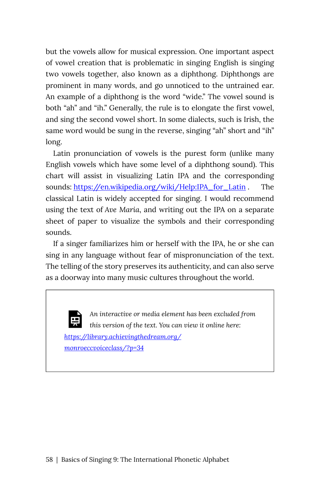but the vowels allow for musical expression. One important aspect of vowel creation that is problematic in singing English is singing two vowels together, also known as a diphthong. Diphthongs are prominent in many words, and go unnoticed to the untrained ear. An example of a diphthong is the word "wide." The vowel sound is both "ah" and "ih." Generally, the rule is to elongate the first vowel, and sing the second vowel short. In some dialects, such is Irish, the same word would be sung in the reverse, singing "ah" short and "ih" long.

Latin pronunciation of vowels is the purest form (unlike many English vowels which have some level of a diphthong sound). This chart will assist in visualizing Latin IPA and the corresponding sounds: [https://en.wikipedia.org/wiki/Help:IPA\\_for\\_Latin](https://en.wikipedia.org/wiki/Help:IPA_for_Latin) . The classical Latin is widely accepted for singing. I would recommend using the text of *Ave Maria*, and writing out the IPA on a separate sheet of paper to visualize the symbols and their corresponding sounds.

If a singer familiarizes him or herself with the IPA, he or she can sing in any language without fear of mispronunciation of the text. The telling of the story preserves its authenticity, and can also serve as a doorway into many music cultures throughout the world.

*An interactive or media element has been excluded from this version of the text. You can view it online here: [https://library.achievingthedream.org/](https://library.achievingthedream.org/monroeccvoiceclass/?p=34#pb-interactive-content) [monroeccvoiceclass/?p=34](https://library.achievingthedream.org/monroeccvoiceclass/?p=34#pb-interactive-content)*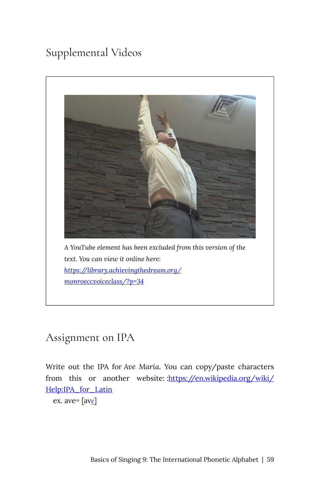### Supplemental Videos



#### Assignment on IPA

Write out the IPA for *Ave Maria*. You can copy/paste characters from this or another website: [:https://en.wikipedia.org/wiki/](https://en.wikipedia.org/wiki/Help:IPA_for_Latin) [Help:IPA\\_for\\_Latin](https://en.wikipedia.org/wiki/Help:IPA_for_Latin) 

ex. ave=  $[av_{\mathcal{E}}]$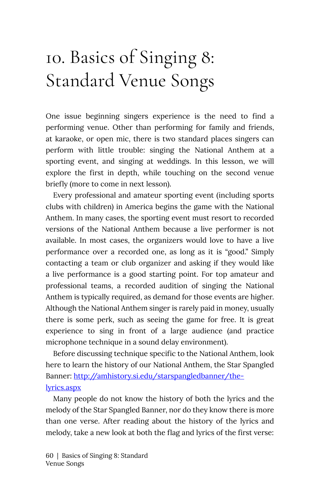# <span id="page-65-0"></span>10. Basics of Singing 8: Standard Venue Songs

One issue beginning singers experience is the need to find a performing venue. Other than performing for family and friends, at karaoke, or open mic, there is two standard places singers can perform with little trouble: singing the National Anthem at a sporting event, and singing at weddings. In this lesson, we will explore the first in depth, while touching on the second venue briefly (more to come in next lesson).

Every professional and amateur sporting event (including sports clubs with children) in America begins the game with the National Anthem. In many cases, the sporting event must resort to recorded versions of the National Anthem because a live performer is not available. In most cases, the organizers would love to have a live performance over a recorded one, as long as it is "good." Simply contacting a team or club organizer and asking if they would like a live performance is a good starting point. For top amateur and professional teams, a recorded audition of singing the National Anthem is typically required, as demand for those events are higher. Although the National Anthem singer is rarely paid in money, usually there is some perk, such as seeing the game for free. It is great experience to sing in front of a large audience (and practice microphone technique in a sound delay environment).

Before discussing technique specific to the National Anthem, look here to learn the history of our National Anthem, the Star Spangled Banner: [http://amhistory.si.edu/starspangledbanner/the](http://amhistory.si.edu/starspangledbanner/the-lyrics.aspx)[lyrics.aspx](http://amhistory.si.edu/starspangledbanner/the-lyrics.aspx)

Many people do not know the history of both the lyrics and the melody of the Star Spangled Banner, nor do they know there is more than one verse. After reading about the history of the lyrics and melody, take a new look at both the flag and lyrics of the first verse: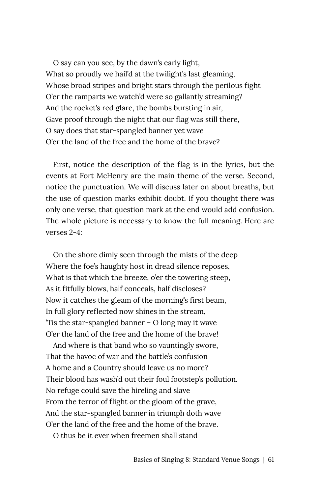O say can you see, by the dawn's early light, What so proudly we hail'd at the twilight's last gleaming, Whose broad stripes and bright stars through the perilous fight O'er the ramparts we watch'd were so gallantly streaming? And the rocket's red glare, the bombs bursting in air, Gave proof through the night that our flag was still there, O say does that star-spangled banner yet wave O'er the land of the free and the home of the brave?

First, notice the description of the flag is in the lyrics, but the events at Fort McHenry are the main theme of the verse. Second, notice the punctuation. We will discuss later on about breaths, but the use of question marks exhibit doubt. If you thought there was only one verse, that question mark at the end would add confusion. The whole picture is necessary to know the full meaning. Here are verses 2-4:

On the shore dimly seen through the mists of the deep Where the foe's haughty host in dread silence reposes, What is that which the breeze, o'er the towering steep, As it fitfully blows, half conceals, half discloses? Now it catches the gleam of the morning's first beam, In full glory reflected now shines in the stream, 'Tis the star-spangled banner – O long may it wave O'er the land of the free and the home of the brave!

And where is that band who so vauntingly swore, That the havoc of war and the battle's confusion A home and a Country should leave us no more? Their blood has wash'd out their foul footstep's pollution. No refuge could save the hireling and slave From the terror of flight or the gloom of the grave, And the star-spangled banner in triumph doth wave O'er the land of the free and the home of the brave.

O thus be it ever when freemen shall stand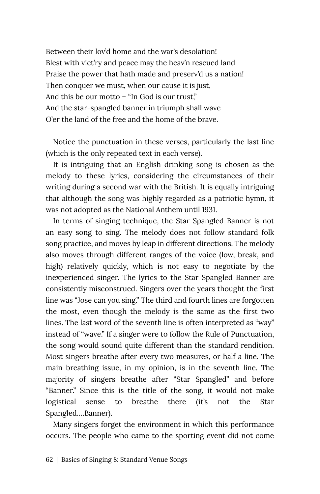Between their lov'd home and the war's desolation! Blest with vict'ry and peace may the heav'n rescued land Praise the power that hath made and preserv'd us a nation! Then conquer we must, when our cause it is just, And this be our motto – "In God is our trust," And the star-spangled banner in triumph shall wave O'er the land of the free and the home of the brave.

Notice the punctuation in these verses, particularly the last line (which is the only repeated text in each verse).

It is intriguing that an English drinking song is chosen as the melody to these lyrics, considering the circumstances of their writing during a second war with the British. It is equally intriguing that although the song was highly regarded as a patriotic hymn, it was not adopted as the National Anthem until 1931.

In terms of singing technique, the Star Spangled Banner is not an easy song to sing. The melody does not follow standard folk song practice, and moves by leap in different directions. The melody also moves through different ranges of the voice (low, break, and high) relatively quickly, which is not easy to negotiate by the inexperienced singer. The lyrics to the Star Spangled Banner are consistently misconstrued. Singers over the years thought the first line was "Jose can you sing." The third and fourth lines are forgotten the most, even though the melody is the same as the first two lines. The last word of the seventh line is often interpreted as "way" instead of "wave." If a singer were to follow the Rule of Punctuation, the song would sound quite different than the standard rendition. Most singers breathe after every two measures, or half a line. The main breathing issue, in my opinion, is in the seventh line. The majority of singers breathe after "Star Spangled" and before "Banner." Since this is the title of the song, it would not make logistical sense to breathe there (it's not the Star Spangled….Banner).

Many singers forget the environment in which this performance occurs. The people who came to the sporting event did not come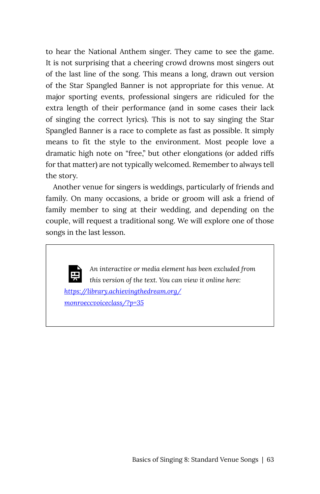to hear the National Anthem singer. They came to see the game. It is not surprising that a cheering crowd drowns most singers out of the last line of the song. This means a long, drawn out version of the Star Spangled Banner is not appropriate for this venue. At major sporting events, professional singers are ridiculed for the extra length of their performance (and in some cases their lack of singing the correct lyrics). This is not to say singing the Star Spangled Banner is a race to complete as fast as possible. It simply means to fit the style to the environment. Most people love a dramatic high note on "free," but other elongations (or added riffs for that matter) are not typically welcomed. Remember to always tell the story.

Another venue for singers is weddings, particularly of friends and family. On many occasions, a bride or groom will ask a friend of family member to sing at their wedding, and depending on the couple, will request a traditional song. We will explore one of those songs in the last lesson.



*An interactive or media element has been excluded from this version of the text. You can view it online here: [https://library.achievingthedream.org/](https://library.achievingthedream.org/monroeccvoiceclass/?p=35#pb-interactive-content) [monroeccvoiceclass/?p=35](https://library.achievingthedream.org/monroeccvoiceclass/?p=35#pb-interactive-content)*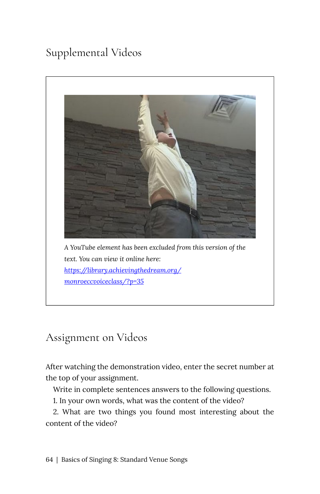## Supplemental Videos



### Assignment on Videos

After watching the demonstration video, enter the secret number at the top of your assignment.

Write in complete sentences answers to the following questions.

1. In your own words, what was the content of the video?

2. What are two things you found most interesting about the content of the video?